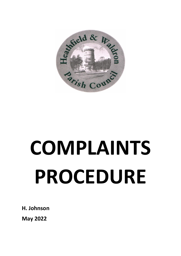

## **COMPLAINTS PROCEDURE**

**H. Johnson**

**May 2022**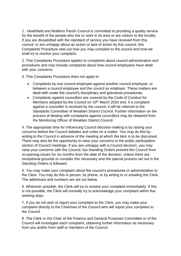1. Heathfield and Waldron Parish Council is committed to providing a quality service for the benefit of the people who live or work in its area or are visitors to the locality. If you are dissatisfied with the standard of service you have received from this council, or are unhappy about an action or lack of action by this council, this Complaints Procedure sets out how you may complain to the council and how we shall try to resolve your complaint.

2. This Complaints Procedure applies to complaints about council administration and procedures and may include complaints about how council employees have dealt with your concerns.

3. This Complaints Procedure does not apply to:

- Complaints by one council employee against another council employee, or between a council employee and the council as employer. These matters are dealt with under the council's disciplinary and grievance procedures;
- Complaints against councillors are covered by the Code of Conduct for Members adopted by the Council on 10<sup>th</sup> March 2020 and, if a complaint against a councillor is received by the council, it will be referred to the Standards Committee of Wealden District Council. Further information on the process of dealing with complaints against councillors may be obtained from the Monitoring Officer of Wealden District Council.

4. The appropriate time for influencing Council decision-making is by raising your concerns before the Council debates and votes on a matter. You may do this by writing to the Council in advance of the meeting at which the item is to be discussed. There may also be the opportunity to raise your concerns in the public participation section of Council meetings. If you are unhappy with a Council decision, you may raise your concerns with the Council, but Standing Orders prevent the Council from re-opening issues for six months from the date of the decision, unless there are exceptional grounds to consider this necessary and the special process set out in the Standing Orders is followed.

5. You may make your complaint about the council's procedures or administration to the Clerk. You may do this in person, by phone, or by writing to or emailing the Clerk. The addresses and numbers are set out below.

6. Wherever possible, the Clerk will try to resolve your complaint immediately. If this is not possible, the Clerk will normally try to acknowledge your complaint within five working days.

7. If you do not wish to report your complaint to the Clerk, you may make your complaint directly to the Chairman of the Council who will report your complaint to the Council

8. The Clerk or the Chair of the Finance and General Purposes Committee or of the Council will investigate each complaint, obtaining further information as necessary from you and/or from staff or members of the Council.